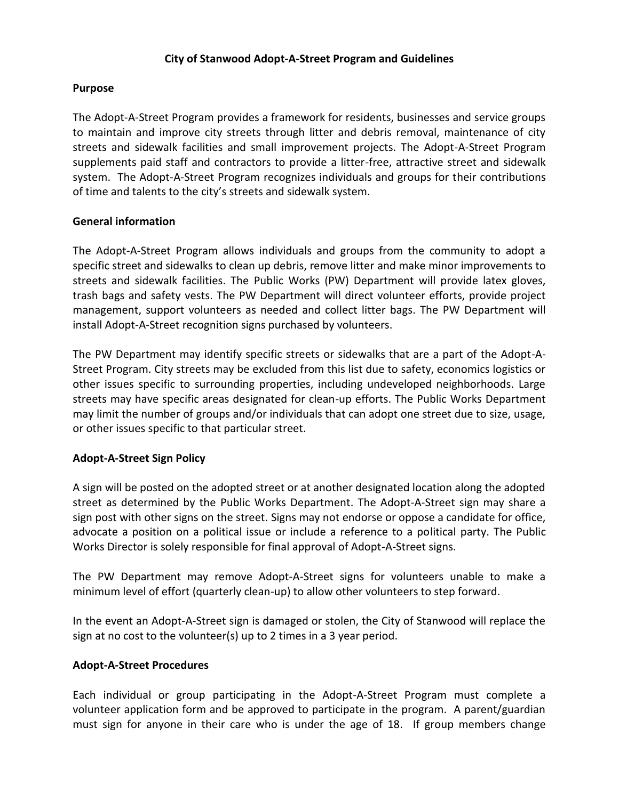## **City of Stanwood Adopt-A-Street Program and Guidelines**

## **Purpose**

The Adopt-A-Street Program provides a framework for residents, businesses and service groups to maintain and improve city streets through litter and debris removal, maintenance of city streets and sidewalk facilities and small improvement projects. The Adopt-A-Street Program supplements paid staff and contractors to provide a litter-free, attractive street and sidewalk system. The Adopt-A-Street Program recognizes individuals and groups for their contributions of time and talents to the city's streets and sidewalk system.

### **General information**

The Adopt-A-Street Program allows individuals and groups from the community to adopt a specific street and sidewalks to clean up debris, remove litter and make minor improvements to streets and sidewalk facilities. The Public Works (PW) Department will provide latex gloves, trash bags and safety vests. The PW Department will direct volunteer efforts, provide project management, support volunteers as needed and collect litter bags. The PW Department will install Adopt-A-Street recognition signs purchased by volunteers.

The PW Department may identify specific streets or sidewalks that are a part of the Adopt-A-Street Program. City streets may be excluded from this list due to safety, economics logistics or other issues specific to surrounding properties, including undeveloped neighborhoods. Large streets may have specific areas designated for clean-up efforts. The Public Works Department may limit the number of groups and/or individuals that can adopt one street due to size, usage, or other issues specific to that particular street.

# **Adopt-A-Street Sign Policy**

A sign will be posted on the adopted street or at another designated location along the adopted street as determined by the Public Works Department. The Adopt-A-Street sign may share a sign post with other signs on the street. Signs may not endorse or oppose a candidate for office, advocate a position on a political issue or include a reference to a political party. The Public Works Director is solely responsible for final approval of Adopt-A-Street signs.

The PW Department may remove Adopt-A-Street signs for volunteers unable to make a minimum level of effort (quarterly clean-up) to allow other volunteers to step forward.

In the event an Adopt-A-Street sign is damaged or stolen, the City of Stanwood will replace the sign at no cost to the volunteer(s) up to 2 times in a 3 year period.

### **Adopt-A-Street Procedures**

Each individual or group participating in the Adopt-A-Street Program must complete a volunteer application form and be approved to participate in the program. A parent/guardian must sign for anyone in their care who is under the age of 18. If group members change